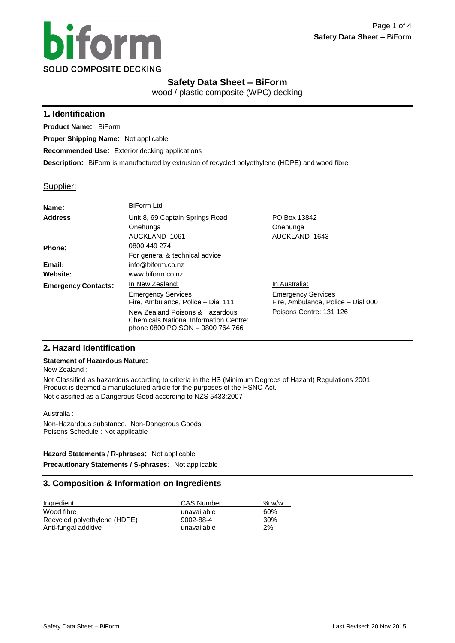

# **Safety Data Sheet – BiForm**

wood / plastic composite (WPC) decking

## **1. Identification**

**Product Name**: BiForm

**Proper Shipping Name**: Not applicable

**Recommended Use**: Exterior decking applications

**Description**: BiForm is manufactured by extrusion of recycled polyethylene (HDPE) and wood fibre

## Supplier:

| Name:                      | <b>BiForm Ltd</b>                                                                                                    |                                                                 |
|----------------------------|----------------------------------------------------------------------------------------------------------------------|-----------------------------------------------------------------|
| <b>Address</b>             | Unit 8, 69 Captain Springs Road                                                                                      | PO Box 13842                                                    |
|                            | Onehunga                                                                                                             | Onehunga                                                        |
|                            | AUCKLAND 1061                                                                                                        | AUCKLAND 1643                                                   |
| Phone:                     | 0800 449 274                                                                                                         |                                                                 |
|                            | For general & technical advice                                                                                       |                                                                 |
| Email:                     | info@biform.co.nz                                                                                                    |                                                                 |
| Website:                   | www.biform.co.nz                                                                                                     |                                                                 |
| <b>Emergency Contacts:</b> | In New Zealand:                                                                                                      | In Australia:                                                   |
|                            | <b>Emergency Services</b><br>Fire, Ambulance, Police - Dial 111                                                      | <b>Emergency Services</b><br>Fire, Ambulance, Police - Dial 000 |
|                            | New Zealand Poisons & Hazardous<br><b>Chemicals National Information Centre:</b><br>phone 0800 POISON - 0800 764 766 | Poisons Centre: 131 126                                         |

## **2. Hazard Identification**

## **Statement of Hazardous Nature**:

## New Zealand :

Not Classified as hazardous according to criteria in the HS (Minimum Degrees of Hazard) Regulations 2001. Product is deemed a manufactured article for the purposes of the HSNO Act. Not classified as a Dangerous Good according to NZS 5433:2007

## Australia :

Non-Hazardous substance. Non-Dangerous Goods Poisons Schedule : Not applicable

## **Hazard Statements / R-phrases**: Not applicable

**Precautionary Statements / S-phrases**: Not applicable

# **3. Composition & Information on Ingredients**

| Ingredient                   | <b>CAS Number</b> | % w/w |
|------------------------------|-------------------|-------|
| Wood fibre                   | unavailable       | 60%   |
| Recycled polyethylene (HDPE) | 9002-88-4         | 30%   |
| Anti-fungal additive         | unavailable       | 2%    |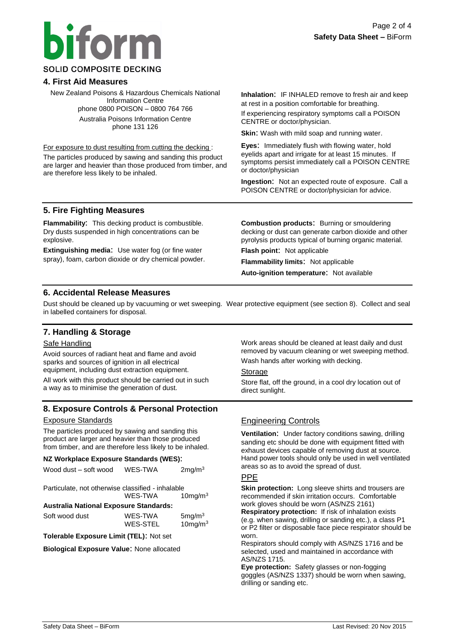# **iform SOLID COMPOSITE DECKING**

# **4. First Aid Measures**

New Zealand Poisons & Hazardous Chemicals National Information Centre phone 0800 POISON – 0800 764 766 Australia Poisons Information Centre phone 131 126

For exposure to dust resulting from cutting the decking :

The particles produced by sawing and sanding this product are larger and heavier than those produced from timber, and are therefore less likely to be inhaled.

**Inhalation**: IF INHALED remove to fresh air and keep at rest in a position comfortable for breathing.

If experiencing respiratory symptoms call a POISON CENTRE or doctor/physician.

**Skin:** Wash with mild soap and running water.

**Eyes**: Immediately flush with flowing water, hold eyelids apart and irrigate for at least 15 minutes. If symptoms persist immediately call a POISON CENTRE or doctor/physician

**Ingestion**: Not an expected route of exposure. Call a POISON CENTRE or doctor/physician for advice.

# **5. Fire Fighting Measures**

**Flammability**: This decking product is combustible. Dry dusts suspended in high concentrations can be explosive.

**Extinguishing media**: Use water fog (or fine water spray), foam, carbon dioxide or dry chemical powder. **Combustion products**: Burning or smouldering decking or dust can generate carbon dioxide and other pyrolysis products typical of burning organic material.

**Flash point**: Not applicable

**Flammability limits**: Not applicable

**Auto-ignition temperature**: Not available

# **6. Accidental Release Measures**

Dust should be cleaned up by vacuuming or wet sweeping. Wear protective equipment (see section 8). Collect and seal in labelled containers for disposal.

# **7. Handling & Storage**

## Safe Handling

Avoid sources of radiant heat and flame and avoid sparks and sources of ignition in all electrical equipment, including dust extraction equipment.

All work with this product should be carried out in such a way as to minimise the generation of dust.

# **8. Exposure Controls & Personal Protection**

## Exposure Standards

The particles produced by sawing and sanding this product are larger and heavier than those produced from timber, and are therefore less likely to be inhaled.

## **NZ Workplace Exposure Standards (WES)**:

| Wood dust – soft wood                             | WES-TWA         | 2mg/m <sup>3</sup>  |
|---------------------------------------------------|-----------------|---------------------|
| Particulate, not otherwise classified - inhalable |                 |                     |
|                                                   | WES-TWA         | $10$ ma/m $3$       |
| Australia National Exposure Standards:            |                 |                     |
| Soft wood dust                                    | WES-TWA         | 5mg/m <sup>3</sup>  |
|                                                   | <b>WES-STEL</b> | 10mg/m <sup>3</sup> |
| Tolerable Exposure Limit (TEL): Not set           |                 |                     |
|                                                   |                 |                     |

**Biological Exposure Value**: None allocated

Work areas should be cleaned at least daily and dust removed by vacuum cleaning or wet sweeping method. Wash hands after working with decking.

**Storage** 

Store flat, off the ground, in a cool dry location out of direct sunlight.

# Engineering Controls

**Ventilation**: Under factory conditions sawing, drilling sanding etc should be done with equipment fitted with exhaust devices capable of removing dust at source. Hand power tools should only be used in well ventilated areas so as to avoid the spread of dust.

## PPE

**Skin protection:** Long sleeve shirts and trousers are recommended if skin irritation occurs. Comfortable work gloves should be worn (AS/NZS 2161) **Respiratory protection:** If risk of inhalation exists (e.g. when sawing, drilling or sanding etc.), a class P1 or P2 filter or disposable face piece respirator should be worn.

Respirators should comply with AS/NZS 1716 and be selected, used and maintained in accordance with AS/NZS 1715.

**Eye protection:** Safety glasses or non-fogging goggles (AS/NZS 1337) should be worn when sawing, drilling or sanding etc.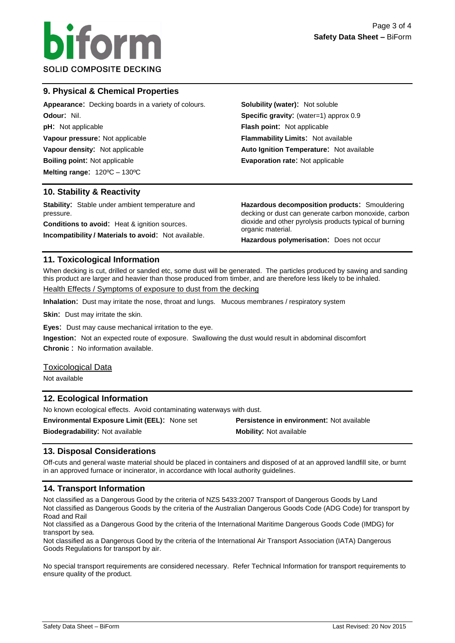

# **9. Physical & Chemical Properties**

| <b>Appearance:</b> Decking boards in a variety of colours. | <b>Solubility (water): Not soluble</b>    |  |
|------------------------------------------------------------|-------------------------------------------|--|
| <b>Odour: Nil.</b>                                         | Specific gravity: (water=1) approx 0.9    |  |
| <b>pH:</b> Not applicable                                  | <b>Flash point:</b> Not applicable        |  |
| Vapour pressure: Not applicable                            | <b>Flammability Limits: Not available</b> |  |
| Vapour density: Not applicable                             | Auto Ignition Temperature: Not available  |  |
| <b>Boiling point: Not applicable</b>                       | <b>Evaporation rate: Not applicable</b>   |  |
| Melting range: $120^{\circ}$ C – $130^{\circ}$ C           |                                           |  |
|                                                            |                                           |  |

## **10. Stability & Reactivity**

**Stability**: Stable under ambient temperature and pressure. **Conditions to avoid**: Heat & ignition sources.

**Incompatibility / Materials to avoid**: Not available.

**Hazardous decomposition products**: Smouldering decking or dust can generate carbon monoxide, carbon dioxide and other pyrolysis products typical of burning organic material.

**Hazardous polymerisation**: Does not occur

## **11. Toxicological Information**

When decking is cut, drilled or sanded etc, some dust will be generated. The particles produced by sawing and sanding this product are larger and heavier than those produced from timber, and are therefore less likely to be inhaled.

Health Effects / Symptoms of exposure to dust from the decking

**Inhalation**: Dust may irritate the nose, throat and lungs. Mucous membranes / respiratory system

**Skin:** Dust may irritate the skin.

**Eyes**: Dust may cause mechanical irritation to the eye.

**Ingestion**: Not an expected route of exposure. Swallowing the dust would result in abdominal discomfort **Chronic** : No information available.

## Toxicological Data

Not available

## **12. Ecological Information**

No known ecological effects. Avoid contaminating waterways with dust.

**Environmental Exposure Limit (EEL)**: None set **Persistence in environment**: Not available **Biodegradability:** Not available **Mobility: Not available Mobility: Not available** 

## **13. Disposal Considerations**

Off-cuts and general waste material should be placed in containers and disposed of at an approved landfill site, or burnt in an approved furnace or incinerator, in accordance with local authority guidelines.

## **14. Transport Information**

Not classified as a Dangerous Good by the criteria of NZS 5433:2007 Transport of Dangerous Goods by Land Not classified as Dangerous Goods by the criteria of the Australian Dangerous Goods Code (ADG Code) for transport by Road and Rail

Not classified as a Dangerous Good by the criteria of the International Maritime Dangerous Goods Code (IMDG) for transport by sea.

Not classified as a Dangerous Good by the criteria of the International Air Transport Association (IATA) Dangerous Goods Regulations for transport by air.

No special transport requirements are considered necessary. Refer Technical Information for transport requirements to ensure quality of the product.